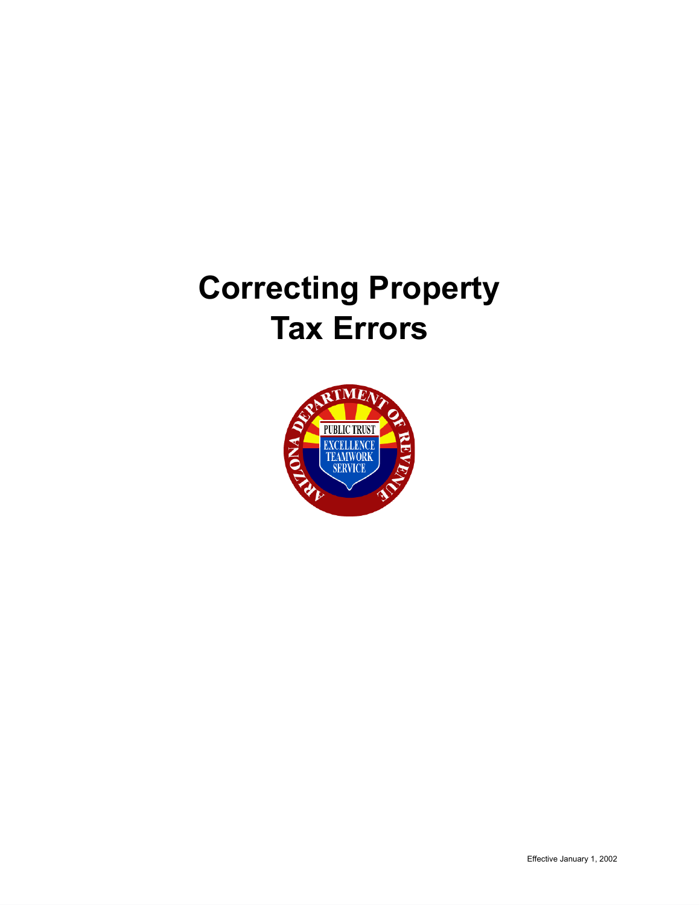# **Correcting Property Tax Errors**

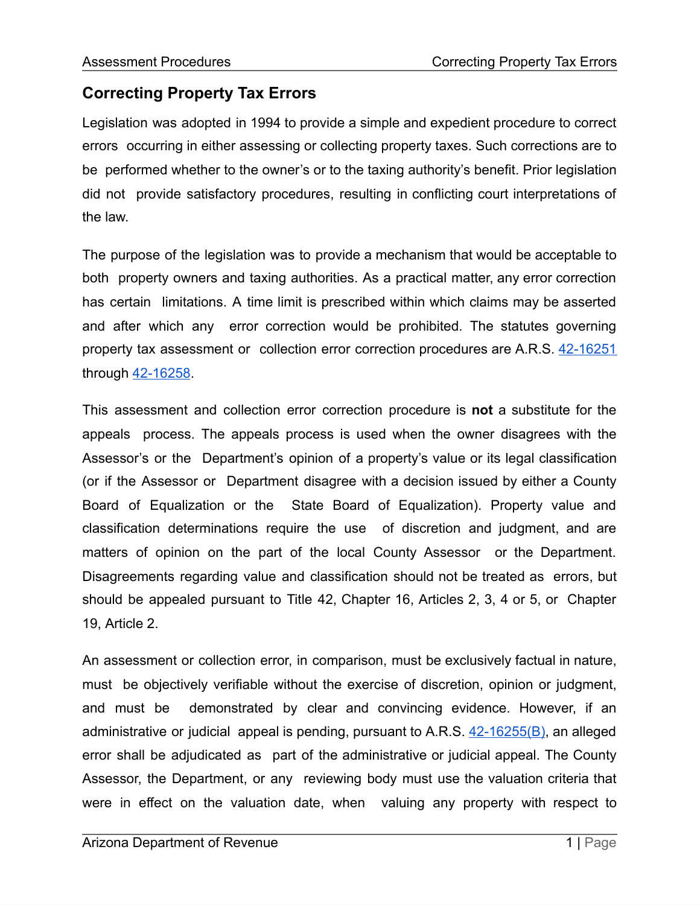## **Correcting Property Tax Errors**

Legislation was adopted in 1994 to provide a simple and expedient procedure to correct errors occurring in either assessing or collecting property taxes. Such corrections are to be performed whether to the owner's or to the taxing authority's benefit. Prior legislation did not provide satisfactory procedures, resulting in conflicting court interpretations of the law.

The purpose of the legislation was to provide a mechanism that would be acceptable to both property owners and taxing authorities. As a practical matter, any error correction has certain limitations. A time limit is prescribed within which claims may be asserted and after which any error correction would be prohibited. The statutes governing property tax assessment or collection error correction procedures are A.R.S. [42-16251](https://www.azleg.gov/viewDocument/?docName=http://www.azleg.gov/ars/42/16251.htm) through [42-16258](https://www.azleg.gov/viewDocument/?docName=http://www.azleg.gov/ars/42/16258.htm).

This assessment and collection error correction procedure is **not** a substitute for the appeals process. The appeals process is used when the owner disagrees with the Assessor's or the Department's opinion of a property's value or its legal classification (or if the Assessor or Department disagree with a decision issued by either a County Board of Equalization or the State Board of Equalization). Property value and classification determinations require the use of discretion and judgment, and are matters of opinion on the part of the local County Assessor or the Department. Disagreements regarding value and classification should not be treated as errors, but should be appealed pursuant to Title 42, Chapter 16, Articles 2, 3, 4 or 5, or Chapter 19, Article 2.

An assessment or collection error, in comparison, must be exclusively factual in nature, must be objectively verifiable without the exercise of discretion, opinion or judgment, and must be demonstrated by clear and convincing evidence. However, if an administrative or judicial appeal is pending, pursuant to A.R.S. [42-16255\(B\)](https://www.azleg.gov/viewDocument/?docName=http://www.azleg.gov/ars/42/16255.htm), an alleged error shall be adjudicated as part of the administrative or judicial appeal. The County Assessor, the Department, or any reviewing body must use the valuation criteria that were in effect on the valuation date, when valuing any property with respect to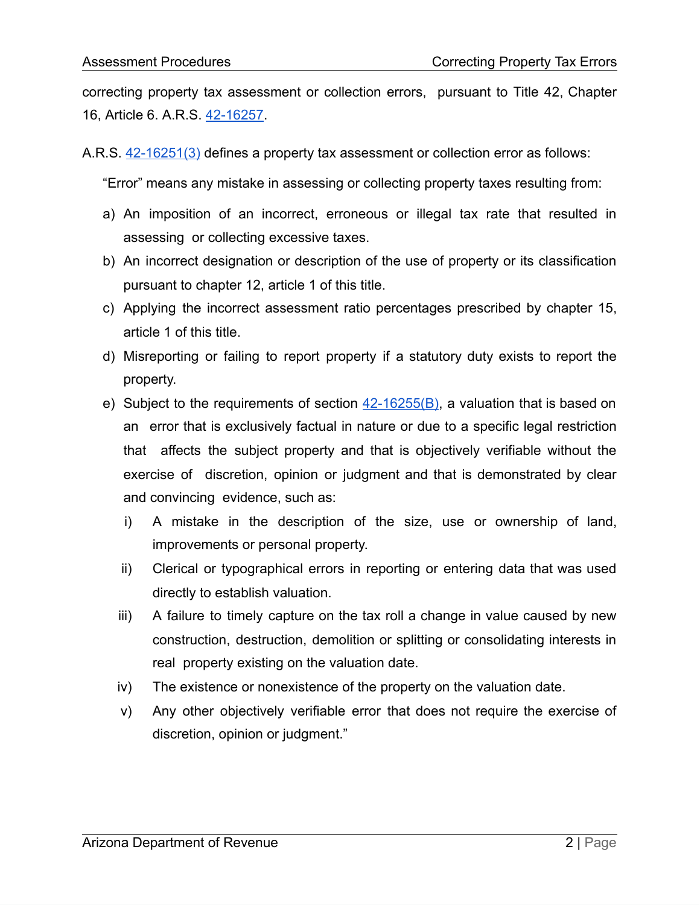correcting property tax assessment or collection errors, pursuant to Title 42, Chapter 16, Article 6. A.R.S. [42-16257.](https://www.azleg.gov/viewDocument/?docName=http://www.azleg.gov/ars/42/16257.htm)

A.R.S. [42-16251\(3\)](https://www.azleg.gov/viewDocument/?docName=http://www.azleg.gov/ars/42/16251.htm) defines a property tax assessment or collection error as follows:

"Error" means any mistake in assessing or collecting property taxes resulting from:

- a) An imposition of an incorrect, erroneous or illegal tax rate that resulted in assessing or collecting excessive taxes.
- b) An incorrect designation or description of the use of property or its classification pursuant to chapter 12, article 1 of this title.
- c) Applying the incorrect assessment ratio percentages prescribed by chapter 15, article 1 of this title.
- d) Misreporting or failing to report property if a statutory duty exists to report the property.
- e) Subject to the requirements of section  $42-16255(B)$ , a valuation that is based on an error that is exclusively factual in nature or due to a specific legal restriction that affects the subject property and that is objectively verifiable without the exercise of discretion, opinion or judgment and that is demonstrated by clear and convincing evidence, such as:
	- i) A mistake in the description of the size, use or ownership of land, improvements or personal property.
	- ii) Clerical or typographical errors in reporting or entering data that was used directly to establish valuation.
	- iii) A failure to timely capture on the tax roll a change in value caused by new construction, destruction, demolition or splitting or consolidating interests in real property existing on the valuation date.
	- iv) The existence or nonexistence of the property on the valuation date.
	- v) Any other objectively verifiable error that does not require the exercise of discretion, opinion or judgment."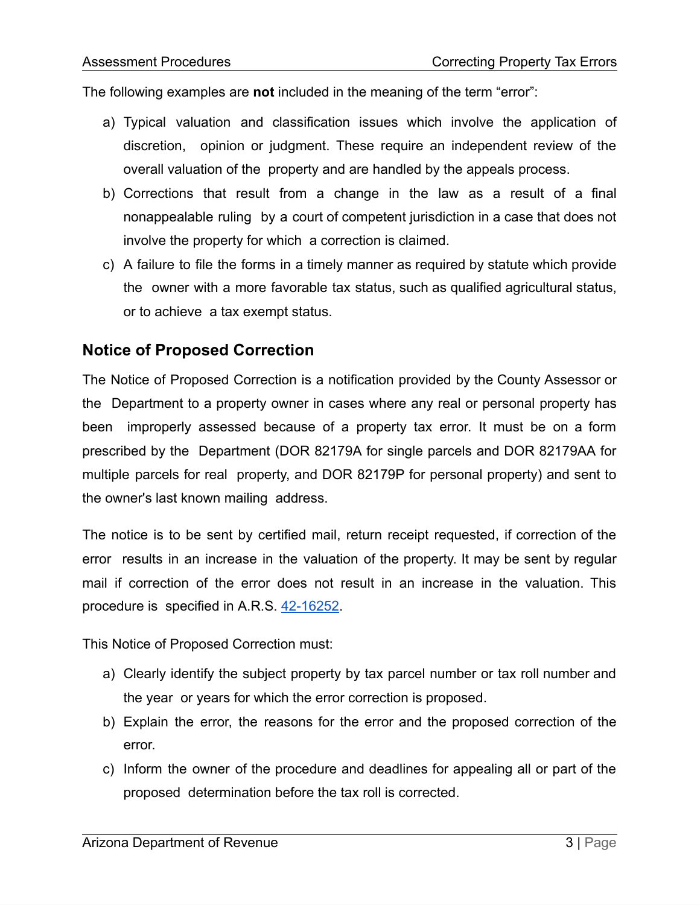The following examples are **not** included in the meaning of the term "error":

- a) Typical valuation and classification issues which involve the application of discretion, opinion or judgment. These require an independent review of the overall valuation of the property and are handled by the appeals process.
- b) Corrections that result from a change in the law as a result of a final nonappealable ruling by a court of competent jurisdiction in a case that does not involve the property for which a correction is claimed.
- c) A failure to file the forms in a timely manner as required by statute which provide the owner with a more favorable tax status, such as qualified agricultural status, or to achieve a tax exempt status.

#### **Notice of Proposed Correction**

The Notice of Proposed Correction is a notification provided by the County Assessor or the Department to a property owner in cases where any real or personal property has been improperly assessed because of a property tax error. It must be on a form prescribed by the Department (DOR 82179A for single parcels and DOR 82179AA for multiple parcels for real property, and DOR 82179P for personal property) and sent to the owner's last known mailing address.

The notice is to be sent by certified mail, return receipt requested, if correction of the error results in an increase in the valuation of the property. It may be sent by regular mail if correction of the error does not result in an increase in the valuation. This procedure is specified in A.R.S. [42-16252.](https://www.azleg.gov/viewDocument/?docName=http://www.azleg.gov/ars/42/16252.htm)

This Notice of Proposed Correction must:

- a) Clearly identify the subject property by tax parcel number or tax roll number and the year or years for which the error correction is proposed.
- b) Explain the error, the reasons for the error and the proposed correction of the error.
- c) Inform the owner of the procedure and deadlines for appealing all or part of the proposed determination before the tax roll is corrected.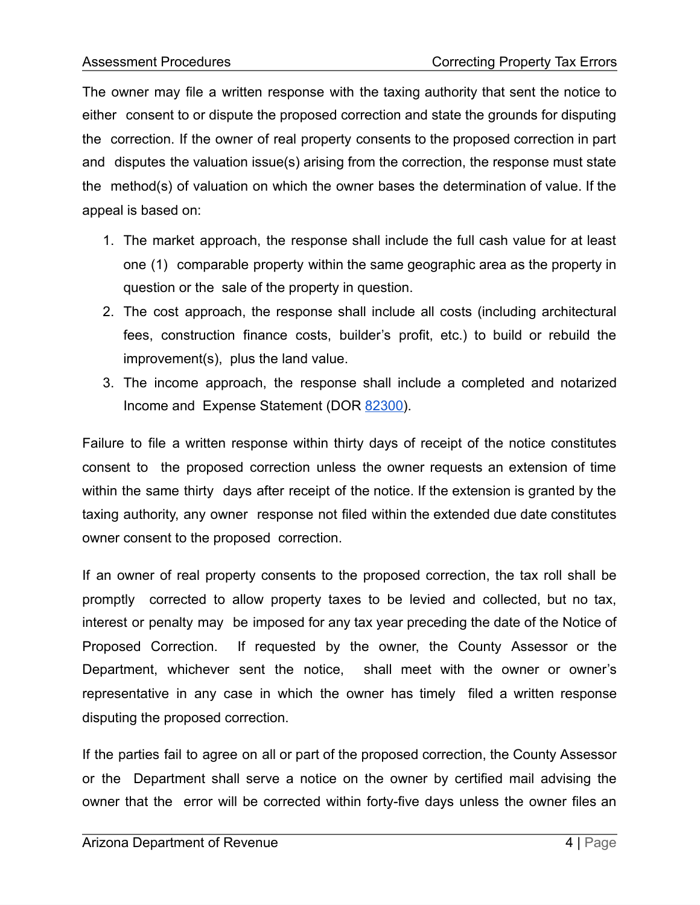The owner may file a written response with the taxing authority that sent the notice to either consent to or dispute the proposed correction and state the grounds for disputing the correction. If the owner of real property consents to the proposed correction in part and disputes the valuation issue(s) arising from the correction, the response must state the method(s) of valuation on which the owner bases the determination of value. If the appeal is based on:

- 1. The market approach, the response shall include the full cash value for at least one (1) comparable property within the same geographic area as the property in question or the sale of the property in question.
- 2. The cost approach, the response shall include all costs (including architectural fees, construction finance costs, builder's profit, etc.) to build or rebuild the improvement(s), plus the land value.
- 3. The income approach, the response shall include a completed and notarized Income and Expense Statement (DOR [82300](https://azdor.gov/forms/property-forms/income-and-expense-statement)).

Failure to file a written response within thirty days of receipt of the notice constitutes consent to the proposed correction unless the owner requests an extension of time within the same thirty days after receipt of the notice. If the extension is granted by the taxing authority, any owner response not filed within the extended due date constitutes owner consent to the proposed correction.

If an owner of real property consents to the proposed correction, the tax roll shall be promptly corrected to allow property taxes to be levied and collected, but no tax, interest or penalty may be imposed for any tax year preceding the date of the Notice of Proposed Correction. If requested by the owner, the County Assessor or the Department, whichever sent the notice, shall meet with the owner or owner's representative in any case in which the owner has timely filed a written response disputing the proposed correction.

If the parties fail to agree on all or part of the proposed correction, the County Assessor or the Department shall serve a notice on the owner by certified mail advising the owner that the error will be corrected within forty-five days unless the owner files an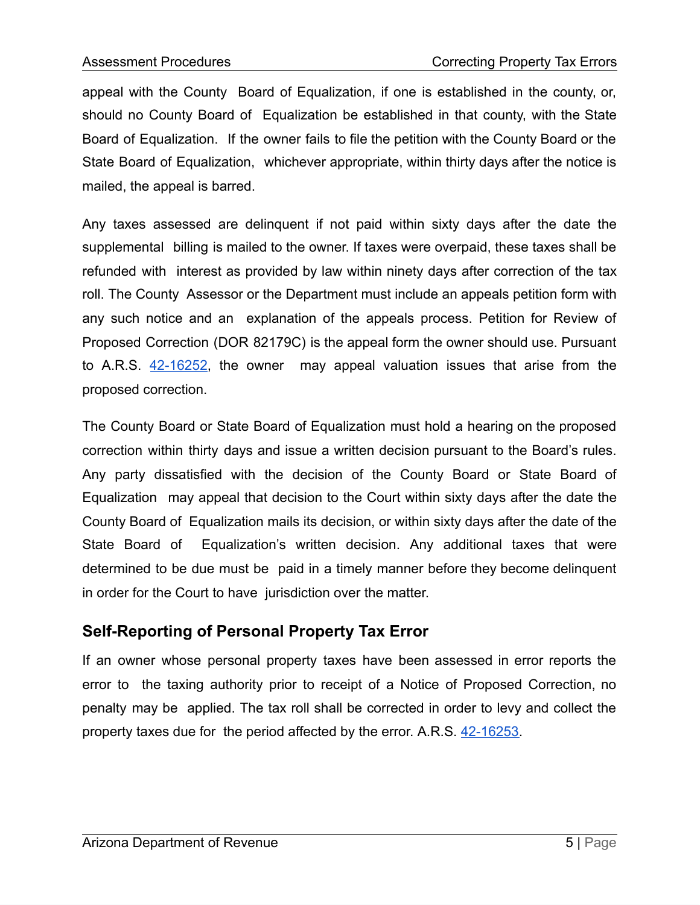appeal with the County Board of Equalization, if one is established in the county, or, should no County Board of Equalization be established in that county, with the State Board of Equalization. If the owner fails to file the petition with the County Board or the State Board of Equalization, whichever appropriate, within thirty days after the notice is mailed, the appeal is barred.

Any taxes assessed are delinquent if not paid within sixty days after the date the supplemental billing is mailed to the owner. If taxes were overpaid, these taxes shall be refunded with interest as provided by law within ninety days after correction of the tax roll. The County Assessor or the Department must include an appeals petition form with any such notice and an explanation of the appeals process. Petition for Review of Proposed Correction (DOR 82179C) is the appeal form the owner should use. Pursuant to A.R.S. [42-16252,](https://www.azleg.gov/viewDocument/?docName=http://www.azleg.gov/ars/42/16252.htm) the owner may appeal valuation issues that arise from the proposed correction.

The County Board or State Board of Equalization must hold a hearing on the proposed correction within thirty days and issue a written decision pursuant to the Board's rules. Any party dissatisfied with the decision of the County Board or State Board of Equalization may appeal that decision to the Court within sixty days after the date the County Board of Equalization mails its decision, or within sixty days after the date of the State Board of Equalization's written decision. Any additional taxes that were determined to be due must be paid in a timely manner before they become delinquent in order for the Court to have jurisdiction over the matter.

#### **Self-Reporting of Personal Property Tax Error**

If an owner whose personal property taxes have been assessed in error reports the error to the taxing authority prior to receipt of a Notice of Proposed Correction, no penalty may be applied. The tax roll shall be corrected in order to levy and collect the property taxes due for the period affected by the error. A.R.S. [42-16253.](https://www.azleg.gov/viewDocument/?docName=http://www.azleg.gov/ars/42/16253.htm)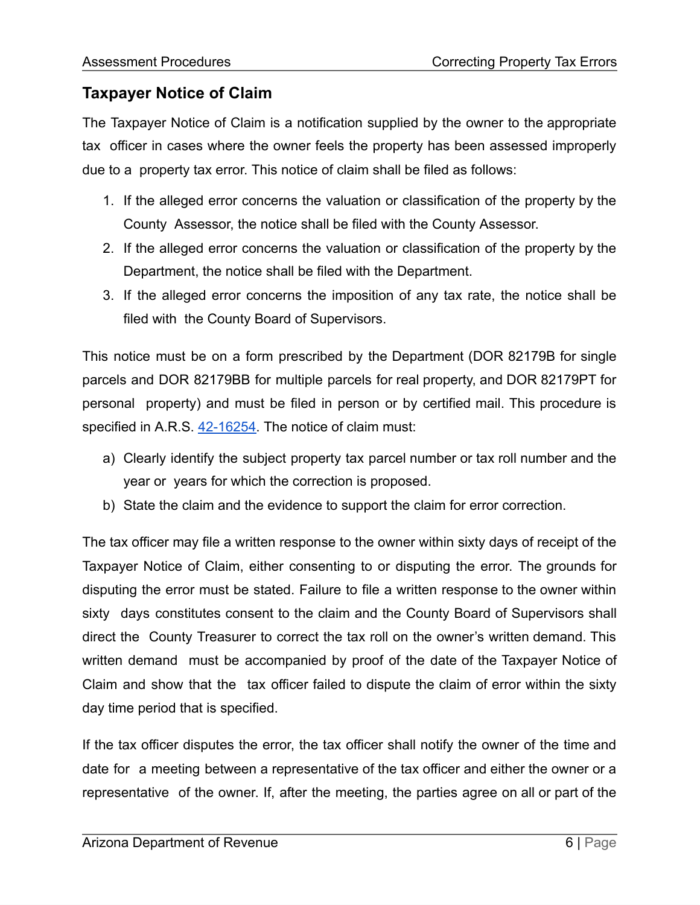### **Taxpayer Notice of Claim**

The Taxpayer Notice of Claim is a notification supplied by the owner to the appropriate tax officer in cases where the owner feels the property has been assessed improperly due to a property tax error. This notice of claim shall be filed as follows:

- 1. If the alleged error concerns the valuation or classification of the property by the County Assessor, the notice shall be filed with the County Assessor.
- 2. If the alleged error concerns the valuation or classification of the property by the Department, the notice shall be filed with the Department.
- 3. If the alleged error concerns the imposition of any tax rate, the notice shall be filed with the County Board of Supervisors.

This notice must be on a form prescribed by the Department (DOR 82179B for single parcels and DOR 82179BB for multiple parcels for real property, and DOR 82179PT for personal property) and must be filed in person or by certified mail. This procedure is specified in A.R.S. [42-16254](https://www.azleg.gov/viewDocument/?docName=http://www.azleg.gov/ars/42/16254.htm). The notice of claim must:

- a) Clearly identify the subject property tax parcel number or tax roll number and the year or years for which the correction is proposed.
- b) State the claim and the evidence to support the claim for error correction.

The tax officer may file a written response to the owner within sixty days of receipt of the Taxpayer Notice of Claim, either consenting to or disputing the error. The grounds for disputing the error must be stated. Failure to file a written response to the owner within sixty days constitutes consent to the claim and the County Board of Supervisors shall direct the County Treasurer to correct the tax roll on the owner's written demand. This written demand must be accompanied by proof of the date of the Taxpayer Notice of Claim and show that the tax officer failed to dispute the claim of error within the sixty day time period that is specified.

If the tax officer disputes the error, the tax officer shall notify the owner of the time and date for a meeting between a representative of the tax officer and either the owner or a representative of the owner. If, after the meeting, the parties agree on all or part of the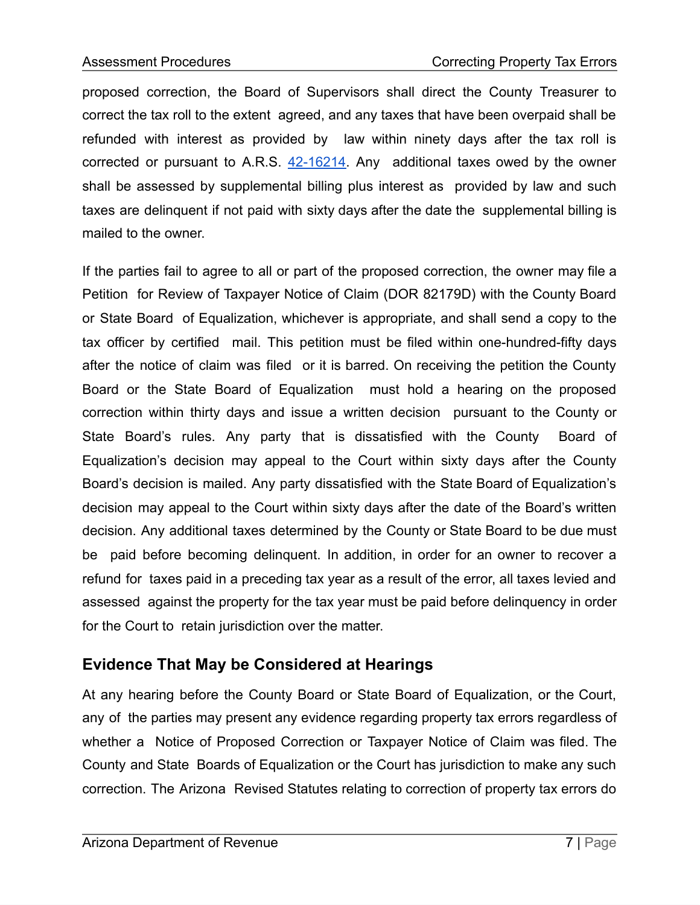proposed correction, the Board of Supervisors shall direct the County Treasurer to correct the tax roll to the extent agreed, and any taxes that have been overpaid shall be refunded with interest as provided by law within ninety days after the tax roll is corrected or pursuant to A.R.S.  $42-16214$ . Any additional taxes owed by the owner shall be assessed by supplemental billing plus interest as provided by law and such taxes are delinquent if not paid with sixty days after the date the supplemental billing is mailed to the owner.

If the parties fail to agree to all or part of the proposed correction, the owner may file a Petition for Review of Taxpayer Notice of Claim (DOR 82179D) with the County Board or State Board of Equalization, whichever is appropriate, and shall send a copy to the tax officer by certified mail. This petition must be filed within one-hundred-fifty days after the notice of claim was filed or it is barred. On receiving the petition the County Board or the State Board of Equalization must hold a hearing on the proposed correction within thirty days and issue a written decision pursuant to the County or State Board's rules. Any party that is dissatisfied with the County Board of Equalization's decision may appeal to the Court within sixty days after the County Board's decision is mailed. Any party dissatisfied with the State Board of Equalization's decision may appeal to the Court within sixty days after the date of the Board's written decision. Any additional taxes determined by the County or State Board to be due must be paid before becoming delinquent. In addition, in order for an owner to recover a refund for taxes paid in a preceding tax year as a result of the error, all taxes levied and assessed against the property for the tax year must be paid before delinquency in order for the Court to retain jurisdiction over the matter.

#### **Evidence That May be Considered at Hearings**

At any hearing before the County Board or State Board of Equalization, or the Court, any of the parties may present any evidence regarding property tax errors regardless of whether a Notice of Proposed Correction or Taxpayer Notice of Claim was filed. The County and State Boards of Equalization or the Court has jurisdiction to make any such correction. The Arizona Revised Statutes relating to correction of property tax errors do